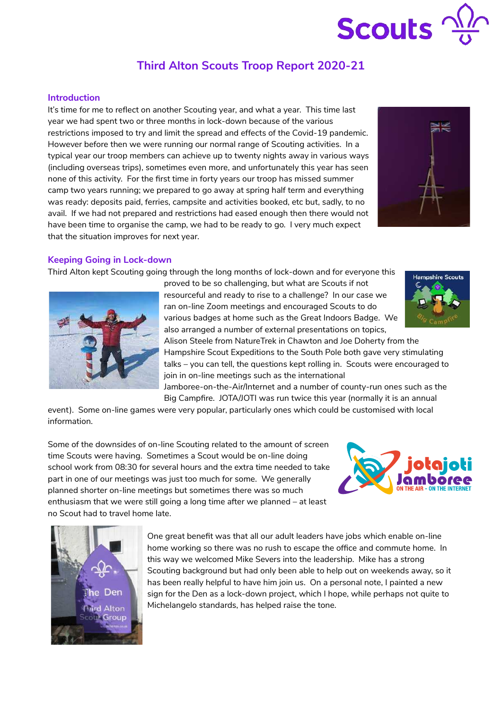

# **Third Alton Scouts Troop Report 2020-21**

## **Introduction**

It's time for me to reflect on another Scouting year, and what a year. This time last year we had spent two or three months in lock-down because of the various restrictions imposed to try and limit the spread and effects of the Covid-19 pandemic. However before then we were running our normal range of Scouting activities. In a typical year our troop members can achieve up to twenty nights away in various ways (including overseas trips), sometimes even more, and unfortunately this year has seen none of this activity. For the first time in forty years our troop has missed summer camp two years running; we prepared to go away at spring half term and everything was ready: deposits paid, ferries, campsite and activities booked, etc but, sadly, to no avail. If we had not prepared and restrictions had eased enough then there would not have been time to organise the camp, we had to be ready to go. I very much expect that the situation improves for next year.



#### **Keeping Going in Lock-down**

Third Alton kept Scouting going through the long months of lock-down and for everyone this



proved to be so challenging, but what are Scouts if not resourceful and ready to rise to a challenge? In our case we ran on-line Zoom meetings and encouraged Scouts to do various badges at home such as the Great Indoors Badge. We also arranged a number of external presentations on topics,



Alison Steele from NatureTrek in Chawton and Joe Doherty from the Hampshire Scout Expeditions to the South Pole both gave very stimulating talks – you can tell, the questions kept rolling in. Scouts were encouraged to join in on-line meetings such as the international

Jamboree-on-the-Air/Internet and a number of county-run ones such as the Big Campfire. JOTA/JOTI was run twice this year (normally it is an annual

event). Some on-line games were very popular, particularly ones which could be customised with local information.

Some of the downsides of on-line Scouting related to the amount of screen time Scouts were having. Sometimes a Scout would be on-line doing school work from 08:30 for several hours and the extra time needed to take part in one of our meetings was just too much for some. We generally planned shorter on-line meetings but sometimes there was so much enthusiasm that we were still going a long time after we planned – at least no Scout had to travel home late.





One great benefit was that all our adult leaders have jobs which enable on-line home working so there was no rush to escape the office and commute home. In this way we welcomed Mike Severs into the leadership. Mike has a strong Scouting background but had only been able to help out on weekends away, so it has been really helpful to have him join us. On a personal note, I painted a new sign for the Den as a lock-down project, which I hope, while perhaps not quite to Michelangelo standards, has helped raise the tone.